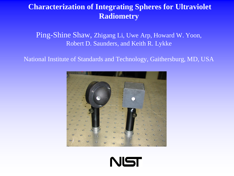# **Characterization of Integrating Spheres for Ultraviolet Radiometry**

Ping-Shine Shaw, Zhigang Li, Uwe Arp, Howard W. Yoon, Robert D. Saunders, and Keith R. Lykke

National Institute of Standards and Technology, Gaithersburg, MD, USA



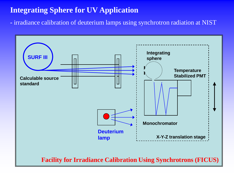### **Integrating Sphere for UV Application**

**-** irradiance calibration of deuterium lamps using synchrotron radiation at NIST



**Facility for Irradiance Calibration Using Synchrotrons (FICUS)**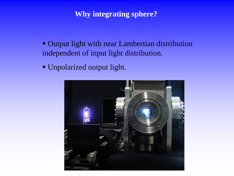## **Why integrating sphere?**

■ Output light with near Lambertian distribution independent of input light distribution.

**Unpolarized output light.** 

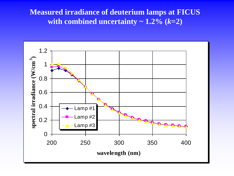### **Measured irradiance of deuterium lamps at FICUS**  with combined uncertainty  $\sim 1.2\%$  ( $k=2$ )

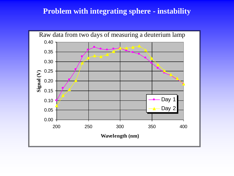#### **Problem with integrating sphere - instability**

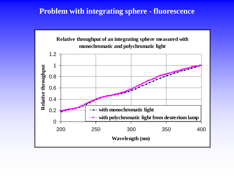#### **Problem with integrating sphere - fluorescence**

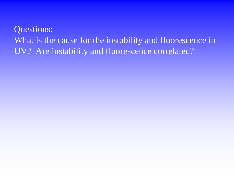Questions: What is the cause for the instability and fluorescence in UV? Are instability and fluorescence correlated?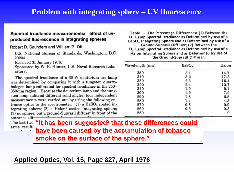#### **Problem with integrating sphere – UV fluorescence**

#### Spectral irradiance measurements: effect of uvproduced fluorescence in integrating spheres

#### Robert D. Saunders and William R. Ott

U.S. National Bureau of Standards, Washington, D.C. 20234.

Received 31 January 1976.

Sponsored by W. R. Hunter, U.S. Naval Research Laboratory.

The spectral irradiance of a 30-W deuterium arc lamp was determined by comparing it with a tungsten quartzhalogen lamp calibrated for spectral irradiance in the 250-350-nm region. Because the deuterium lamp and the tungsten lamp subtend different solid angles, four independent measurements were carried out by using the following entrance optics to the spectrometer:  $(1)$  a BaSO<sub>4</sub> coated integrating sphere;  $(2)$  a Halon<sup>1</sup> coated integrating sphere; (3) no sphere, but a ground-Suprasil diffuser in front of the

entrance slit

**"It has been suggested<sup>2</sup> that these differences could**  same results have been caused by the accumulation of tobacco **smoke on the surface of the sphere."**

Table I. The Percentage Differences: (1) Between the D. Lamp Spectral Irradiance as Determined by use of a BaSO, Integrating Sphere and as Determined by use of a Ground-Suprasil Diffuser; (2) Between the D. Lamp Spectral Irradiance as Determined by use of a Halon Integrating Sphere and as Determined by use of the Ground-Suprasil Diffuser.

| Wavelength (nm) | BaSO <sub>4</sub> | Halon |
|-----------------|-------------------|-------|
| 350             | 3.1               | 14.7  |
| 340             | $3.2\,$           | 17.3  |
| 330             | 2.5               | 16.4  |
| 320             | 2.4               | 12.7  |
| 310             | 1.9               | 9.1   |
| 300             | 1.9               | 7.2   |
| 290             | 1.8               | 6.5   |
| 280             | 1.4               | 4.3   |
| 270             | $_{0.8}$          | 0.9   |
| 260             | 0.3               | 0.3   |
| 250             | 0                 | ۰0    |

#### **Applied Optics, Vol. 15, Page 827, April 1976**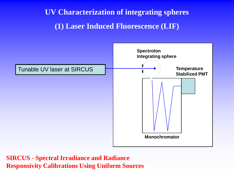**UV Characterization of integrating spheres (1) Laser Induced Fluorescence (LIF)**



**SIRCUS - Spectral Irradiance and Radiance Responsivity Calibrations Using Uniform Sources**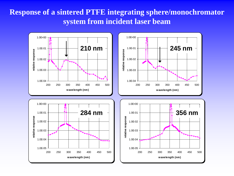### **Response of a sintered PTFE integrating sphere/monochromator system from incident laser beam**

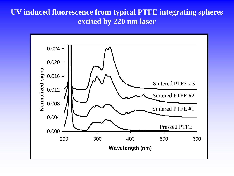# **UV induced fluorescence from typical PTFE integrating spheres excited by 220 nm laser**

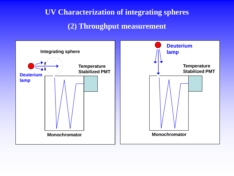**UV Characterization of integrating spheres (2) Throughput measurement**

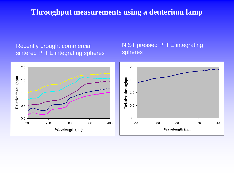### **Throughput measurements using a deuterium lamp**

#### Recently brought commercial sintered PTFE integrating spheres

#### NIST pressed PTFE integrating spheres

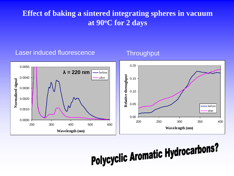### **Effect of baking a sintered integrating spheres in vacuum at 90<sup>o</sup>C for 2 days**

#### Laser induced fluorescence

#### **Throughput**



Polycyclic Aromatic Hydrocarbons?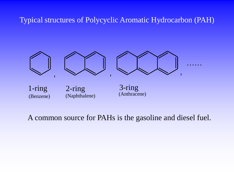Typical structures of Polycyclic Aromatic Hydrocarbon (PAH)



A common source for PAHs is the gasoline and diesel fuel.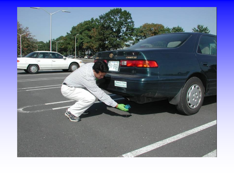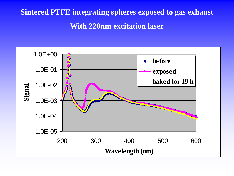**Sintered PTFE integrating spheres exposed to gas exhaust With 220nm excitation laser**

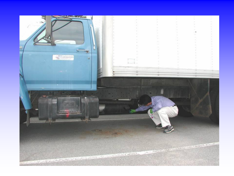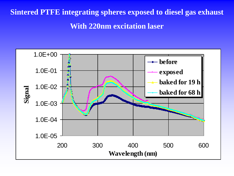**Sintered PTFE integrating spheres exposed to diesel gas exhaust With 220nm excitation laser**

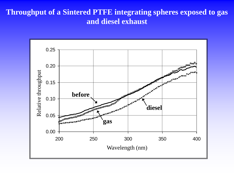# **Throughput of a Sintered PTFE integrating spheres exposed to gas and diesel exhaust**

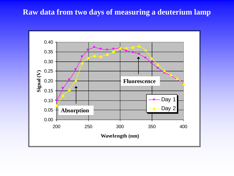# **Raw data from two days of measuring a deuterium lamp**

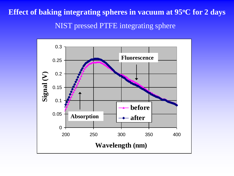**Effect of baking integrating spheres in vacuum at 95<sup>o</sup>C for 2 days** NIST pressed PTFE integrating sphere